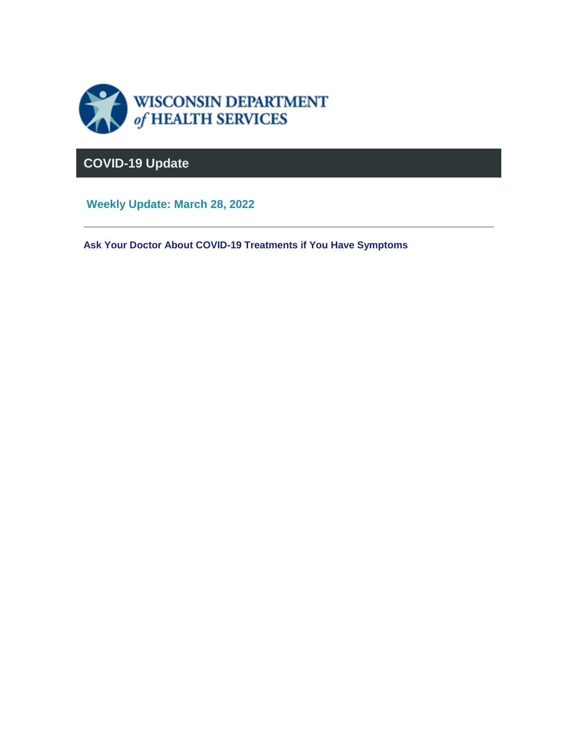

### **COVID-19 Update**

**Weekly Update: March 28, 2022**

**Ask Your Doctor About COVID-19 Treatments if You Have Symptoms**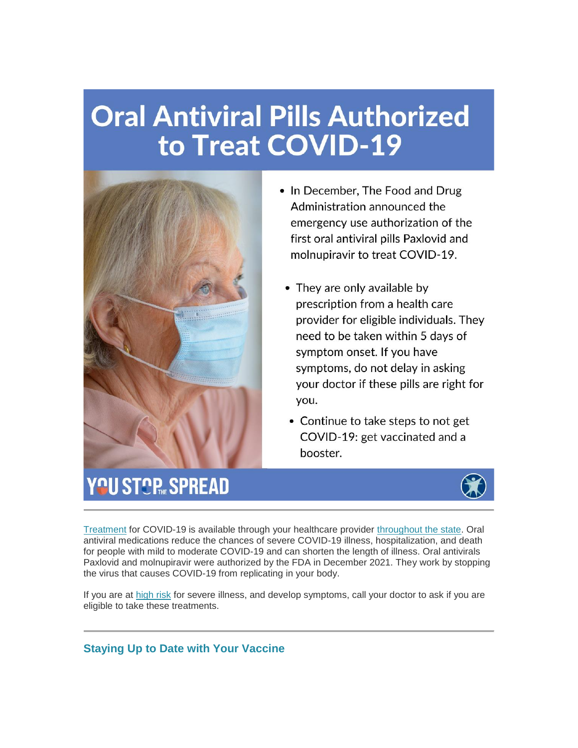# **Oral Antiviral Pills Authorized** to Treat COVID-19



- In December, The Food and Drug Administration announced the emergency use authorization of the first oral antiviral pills Paxlovid and molnupiravir to treat COVID-19.
	- They are only available by prescription from a health care provider for eligible individuals. They need to be taken within 5 days of symptom onset. If you have symptoms, do not delay in asking your doctor if these pills are right for you.
	- Continue to take steps to not get COVID-19: get vaccinated and a booster.

## YOU STOP SPREAD



[Treatment](https://lnks.gd/l/eyJhbGciOiJIUzI1NiJ9.eyJidWxsZXRpbl9saW5rX2lkIjoxMDAsInVyaSI6ImJwMjpjbGljayIsImJ1bGxldGluX2lkIjoiMjAyMjAzMjguNTU1NzgwNjEiLCJ1cmwiOiJodHRwczovL3d3dy5kaHMud2lzY29uc2luLmdvdi9jb3ZpZC0xOS90cmVhdG1lbnRzLmh0bSJ9.up0V6Bq_uzItxCtn8dIvUYWkkQjDld1zRBb0KQ9kMkM/s/1421858714/br/128768555013-l) for COVID-19 is available through your healthcare provider [throughout the state.](https://lnks.gd/l/eyJhbGciOiJIUzI1NiJ9.eyJidWxsZXRpbl9saW5rX2lkIjoxMDEsInVyaSI6ImJwMjpjbGljayIsImJ1bGxldGluX2lkIjoiMjAyMjAzMjguNTU1NzgwNjEiLCJ1cmwiOiJodHRwczovL3d3dy5kaHMud2lzY29uc2luLmdvdi9jb3ZpZC0xOS90aGVyYXBldXRpY3MuaHRtIn0.Y2Z_V5BujkXdWg2u4DWJEU_L-2gc_Fb6xhhUupdC_ic/s/1421858714/br/128768555013-l) Oral antiviral medications reduce the chances of severe COVID-19 illness, hospitalization, and death for people with mild to moderate COVID-19 and can shorten the length of illness. Oral antivirals Paxlovid and molnupiravir were authorized by the FDA in December 2021. They work by stopping the virus that causes COVID-19 from replicating in your body.

If you are at [high risk](https://lnks.gd/l/eyJhbGciOiJIUzI1NiJ9.eyJidWxsZXRpbl9saW5rX2lkIjoxMDIsInVyaSI6ImJwMjpjbGljayIsImJ1bGxldGluX2lkIjoiMjAyMjAzMjguNTU1NzgwNjEiLCJ1cmwiOiJodHRwczovL3d3dy5jZGMuZ292L2Nvcm9uYXZpcnVzLzIwMTktbmNvdi9uZWVkLWV4dHJhLXByZWNhdXRpb25zL3Blb3BsZS13aXRoLW1lZGljYWwtY29uZGl0aW9ucy5odG1sIn0.le4bvgRT0RYVvbqgMSBrRtq8EZQPDlb2BOyUUw5mskU/s/1421858714/br/128768555013-l) for severe illness, and develop symptoms, call your doctor to ask if you are eligible to take these treatments.

### **Staying Up to Date with Your Vaccine**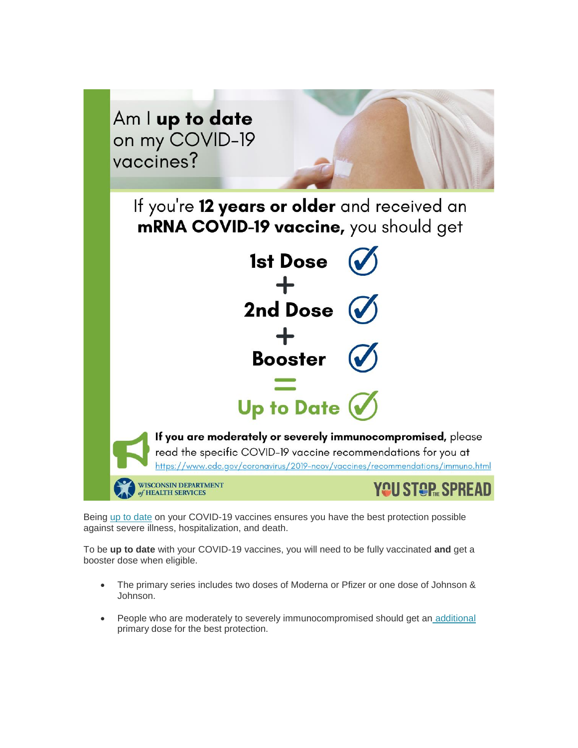

Being [up to date](https://lnks.gd/l/eyJhbGciOiJIUzI1NiJ9.eyJidWxsZXRpbl9saW5rX2lkIjoxMDMsInVyaSI6ImJwMjpjbGljayIsImJ1bGxldGluX2lkIjoiMjAyMjAzMjguNTU1NzgwNjEiLCJ1cmwiOiJodHRwczovL3d3dy5kaHMud2lzY29uc2luLmdvdi9jb3ZpZC0xOS92YWNjaW5lLWFmdGVyLmh0bSJ9.XYSyJYQMDpTu-SDxwfkiMR72D_avtPAOAuBfMyOYjuk/s/1421858714/br/128768555013-l) on your COVID-19 vaccines ensures you have the best protection possible against severe illness, hospitalization, and death.

To be **up to date** with your COVID-19 vaccines, you will need to be fully vaccinated **and** get a booster dose when eligible.

- The primary series includes two doses of Moderna or Pfizer or one dose of Johnson & Johnson.
- People who are moderately to severely immunocompromised should get an [additional](https://lnks.gd/l/eyJhbGciOiJIUzI1NiJ9.eyJidWxsZXRpbl9saW5rX2lkIjoxMDQsInVyaSI6ImJwMjpjbGljayIsImJ1bGxldGluX2lkIjoiMjAyMjAzMjguNTU1NzgwNjEiLCJ1cmwiOiJodHRwczovL3d3dy5kaHMud2lzY29uc2luLmdvdi9jb3ZpZC0xOS92YWNjaW5lLWRvc2UuaHRtIn0.HHwL7wPflW-YG3l9tkfDPhzlDLRH6ec9iRG9wdirqNw/s/1421858714/br/128768555013-l) primary dose for the best protection.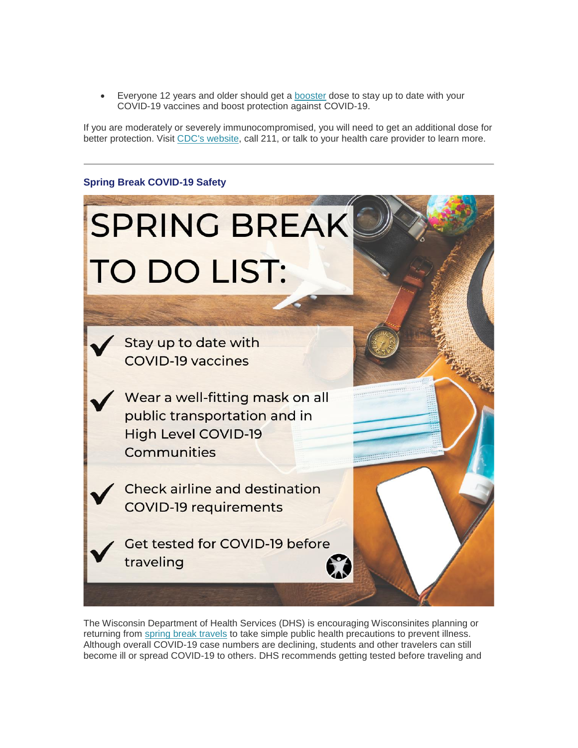• Everyone 12 years and older should get a [booster](https://lnks.gd/l/eyJhbGciOiJIUzI1NiJ9.eyJidWxsZXRpbl9saW5rX2lkIjoxMDUsInVyaSI6ImJwMjpjbGljayIsImJ1bGxldGluX2lkIjoiMjAyMjAzMjguNTU1NzgwNjEiLCJ1cmwiOiJodHRwczovL3d3dy5kaHMud2lzY29uc2luLmdvdi9jb3ZpZC0xOS92YWNjaW5lLWRvc2UuaHRtIn0.PnC1drAyAMEYBgxwmyHKYyyIHlqvqnrrvpAcD5quJbQ/s/1421858714/br/128768555013-l) dose to stay up to date with your COVID-19 vaccines and boost protection against COVID-19.

If you are moderately or severely immunocompromised, you will need to get an additional dose for better protection. Visit [CDC's website,](https://lnks.gd/l/eyJhbGciOiJIUzI1NiJ9.eyJidWxsZXRpbl9saW5rX2lkIjoxMDYsInVyaSI6ImJwMjpjbGljayIsImJ1bGxldGluX2lkIjoiMjAyMjAzMjguNTU1NzgwNjEiLCJ1cmwiOiJodHRwczovL2JpdC5seS8zeUxtT2M1In0.nUK-NzgeJDoxry_skNIViieRrT6J_lZdJ2hJXAVpFjQ/s/1421858714/br/128768555013-l) call 211, or talk to your health care provider to learn more.

#### **Spring Break COVID-19 Safety**



The Wisconsin Department of Health Services (DHS) is encouraging Wisconsinites planning or returning from [spring break travels](https://lnks.gd/l/eyJhbGciOiJIUzI1NiJ9.eyJidWxsZXRpbl9saW5rX2lkIjoxMDcsInVyaSI6ImJwMjpjbGljayIsImJ1bGxldGluX2lkIjoiMjAyMjAzMjguNTU1NzgwNjEiLCJ1cmwiOiJodHRwczovL3d3dy5kaHMud2lzY29uc2luLmdvdi9uZXdzL3JlbGVhc2VzLzAzMjMyMi5odG0ifQ.nlamCH9XoGFWdLAyiicwoLsQPMtUPaw0aUZosi8JaEI/s/1421858714/br/128768555013-l) to take simple public health precautions to prevent illness. Although overall COVID-19 case numbers are declining, students and other travelers can still become ill or spread COVID-19 to others. DHS recommends getting tested before traveling and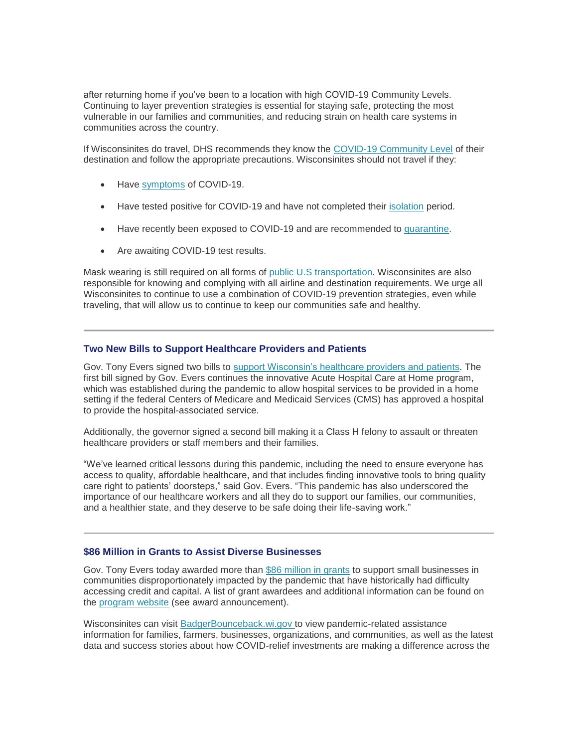after returning home if you've been to a location with high COVID-19 Community Levels. Continuing to layer prevention strategies is essential for staying safe, protecting the most vulnerable in our families and communities, and reducing strain on health care systems in communities across the country.

If Wisconsinites do travel, DHS recommends they know the [COVID-19 Community Level](https://lnks.gd/l/eyJhbGciOiJIUzI1NiJ9.eyJidWxsZXRpbl9saW5rX2lkIjoxMDgsInVyaSI6ImJwMjpjbGljayIsImJ1bGxldGluX2lkIjoiMjAyMjAzMjguNTU1NzgwNjEiLCJ1cmwiOiJodHRwczovL3d3dy5jZGMuZ292L2Nvcm9uYXZpcnVzLzIwMTktbmNvdi95b3VyLWhlYWx0aC9jb3ZpZC1ieS1jb3VudHkuaHRtbCJ9.hpR9do36o12O82wCx-5H5BrfhWJANbEhCKwJBkxhq8Y/s/1421858714/br/128768555013-l) of their destination and follow the appropriate precautions. Wisconsinites should not travel if they:

- Have [symptoms](https://lnks.gd/l/eyJhbGciOiJIUzI1NiJ9.eyJidWxsZXRpbl9saW5rX2lkIjoxMDksInVyaSI6ImJwMjpjbGljayIsImJ1bGxldGluX2lkIjoiMjAyMjAzMjguNTU1NzgwNjEiLCJ1cmwiOiJodHRwczovL3d3dy5kaHMud2lzY29uc2luLmdvdi9jb3ZpZC0xOS9zeW1wdG9tcy5odG0ifQ.oVHhMgDFs8lO5D1PTVuO8FqwLKjfFwoQ9JmRdxwyNLM/s/1421858714/br/128768555013-l) of COVID-19.
- Have tested positive for COVID-19 and have not completed their [isolation](https://lnks.gd/l/eyJhbGciOiJIUzI1NiJ9.eyJidWxsZXRpbl9saW5rX2lkIjoxMTAsInVyaSI6ImJwMjpjbGljayIsImJ1bGxldGluX2lkIjoiMjAyMjAzMjguNTU1NzgwNjEiLCJ1cmwiOiJodHRwczovL3d3dy5kaHMud2lzY29uc2luLmdvdi9jb3ZpZC0xOS9kaWFnbm9zZWQuaHRtIn0.95-uugv_rlUbGCwFOoUv1oTSDk--0E8WgNYy4LUEJ4M/s/1421858714/br/128768555013-l) period.
- Have recently been exposed to COVID-19 and are recommended to [quarantine.](https://lnks.gd/l/eyJhbGciOiJIUzI1NiJ9.eyJidWxsZXRpbl9saW5rX2lkIjoxMTEsInVyaSI6ImJwMjpjbGljayIsImJ1bGxldGluX2lkIjoiMjAyMjAzMjguNTU1NzgwNjEiLCJ1cmwiOiJodHRwczovL3d3dy5kaHMud2lzY29uc2luLmdvdi9jb3ZpZC0xOS9jbG9zZS1jb250YWN0cy5odG0ifQ.DOAmm7ZQ1al0XxnjHXLZXg_fFdK5S0u8C2P52MqGaKM/s/1421858714/br/128768555013-l)
- Are awaiting COVID-19 test results.

Mask wearing is still required on all forms of [public U.S transportation.](https://lnks.gd/l/eyJhbGciOiJIUzI1NiJ9.eyJidWxsZXRpbl9saW5rX2lkIjoxMTIsInVyaSI6ImJwMjpjbGljayIsImJ1bGxldGluX2lkIjoiMjAyMjAzMjguNTU1NzgwNjEiLCJ1cmwiOiJodHRwczovL3d3dy5jZGMuZ292L2Nvcm9uYXZpcnVzLzIwMTktbmNvdi90cmF2ZWxlcnMvZmFjZS1tYXNrcy1wdWJsaWMtdHJhbnNwb3J0YXRpb24uaHRtbCJ9.fRt_B5eY7mpzqjJvaj5lDtz0ZW3Z9YxlnbJev_Ldozg/s/1421858714/br/128768555013-l) Wisconsinites are also responsible for knowing and complying with all airline and destination requirements. We urge all Wisconsinites to continue to use a combination of COVID-19 prevention strategies, even while traveling, that will allow us to continue to keep our communities safe and healthy.

#### **Two New Bills to Support Healthcare Providers and Patients**

Gov. Tony Evers signed two bills to [support Wisconsin's healthcare providers and patients.](https://lnks.gd/l/eyJhbGciOiJIUzI1NiJ9.eyJidWxsZXRpbl9saW5rX2lkIjoxMTMsInVyaSI6ImJwMjpjbGljayIsImJ1bGxldGluX2lkIjoiMjAyMjAzMjguNTU1NzgwNjEiLCJ1cmwiOiJodHRwczovL2NvbnRlbnQuZ292ZGVsaXZlcnkuY29tL2FjY291bnRzL1dJR09WL2J1bGxldGlucy8zMGZmNDhhIn0.lA9WwVM31guDrV1qCiqGm8__sXyDLeOAO3IRi_TX2nA/s/1421858714/br/128768555013-l) The first bill signed by Gov. Evers continues the innovative Acute Hospital Care at Home program, which was established during the pandemic to allow hospital services to be provided in a home setting if the federal Centers of Medicare and Medicaid Services (CMS) has approved a hospital to provide the hospital-associated service.

Additionally, the governor signed a second bill making it a Class H felony to assault or threaten healthcare providers or staff members and their families.

"We've learned critical lessons during this pandemic, including the need to ensure everyone has access to quality, affordable healthcare, and that includes finding innovative tools to bring quality care right to patients' doorsteps," said Gov. Evers. "This pandemic has also underscored the importance of our healthcare workers and all they do to support our families, our communities, and a healthier state, and they deserve to be safe doing their life-saving work."

#### **\$86 Million in Grants to Assist Diverse Businesses**

Gov. Tony Evers today awarded more than [\\$86 million in grants](https://lnks.gd/l/eyJhbGciOiJIUzI1NiJ9.eyJidWxsZXRpbl9saW5rX2lkIjoxMTQsInVyaSI6ImJwMjpjbGljayIsImJ1bGxldGluX2lkIjoiMjAyMjAzMjguNTU1NzgwNjEiLCJ1cmwiOiJodHRwczovL2NvbnRlbnQuZ292ZGVsaXZlcnkuY29tL2FjY291bnRzL1dJR09WL2J1bGxldGlucy8zMGY0NmJlIn0.G0z_XjoxPwh-vdqTuWqPzpffEiCiAAOfRJnjYfam--o/s/1421858714/br/128768555013-l) to support small businesses in communities disproportionately impacted by the pandemic that have historically had difficulty accessing credit and capital. A list of grant awardees and additional information can be found on the [program website](https://lnks.gd/l/eyJhbGciOiJIUzI1NiJ9.eyJidWxsZXRpbl9saW5rX2lkIjoxMTUsInVyaSI6ImJwMjpjbGljayIsImJ1bGxldGluX2lkIjoiMjAyMjAzMjguNTU1NzgwNjEiLCJ1cmwiOiJodHRwczovL2RvYS53aS5nb3YvcGFnZXMvRGl2ZXJzZUJ1c2luZXNzQXNzaXN0YW5jZS5hc3B4In0.Qufnx2wdFlld8N87zaVXS0cuGZleGkWb3juZzGgkbGI/s/1421858714/br/128768555013-l) (see award announcement).

Wisconsinites can visit [BadgerBounceback.wi.gov](https://lnks.gd/l/eyJhbGciOiJIUzI1NiJ9.eyJidWxsZXRpbl9saW5rX2lkIjoxMTYsInVyaSI6ImJwMjpjbGljayIsImJ1bGxldGluX2lkIjoiMjAyMjAzMjguNTU1NzgwNjEiLCJ1cmwiOiJodHRwczovL2JhZGdlcmJvdW5jZWJhY2sud2kuZ292LyJ9.RUH_VoEfMmGbdiM8a-QkAUYXrO0ETZInvVMvj0lVIQE/s/1421858714/br/128768555013-l) to view pandemic-related assistance information for families, farmers, businesses, organizations, and communities, as well as the latest data and success stories about how COVID-relief investments are making a difference across the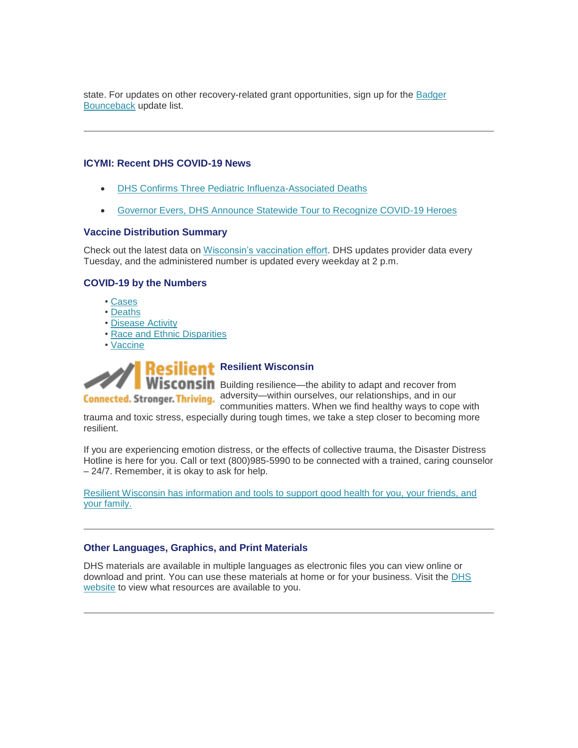state. For updates on other recovery-related grant opportunities, sign up for the [Badger](https://lnks.gd/l/eyJhbGciOiJIUzI1NiJ9.eyJidWxsZXRpbl9saW5rX2lkIjoxMTcsInVyaSI6ImJwMjpjbGljayIsImJ1bGxldGluX2lkIjoiMjAyMjAzMjguNTU1NzgwNjEiLCJ1cmwiOiJodHRwczovL3B1YmxpYy5nb3ZkZWxpdmVyeS5jb20vYWNjb3VudHMvV0lHT1Yvc3Vic2NyaWJlci9uZXc_dG9waWNfaWQ9V0lHT1ZfMTM1In0.sAfvyhGPwoy_4Y4fJO4ggU1yJRKx2Il0lHGX1mAIcV0/s/1421858714/br/128768555013-l)  [Bounceback](https://lnks.gd/l/eyJhbGciOiJIUzI1NiJ9.eyJidWxsZXRpbl9saW5rX2lkIjoxMTcsInVyaSI6ImJwMjpjbGljayIsImJ1bGxldGluX2lkIjoiMjAyMjAzMjguNTU1NzgwNjEiLCJ1cmwiOiJodHRwczovL3B1YmxpYy5nb3ZkZWxpdmVyeS5jb20vYWNjb3VudHMvV0lHT1Yvc3Vic2NyaWJlci9uZXc_dG9waWNfaWQ9V0lHT1ZfMTM1In0.sAfvyhGPwoy_4Y4fJO4ggU1yJRKx2Il0lHGX1mAIcV0/s/1421858714/br/128768555013-l) update list.

#### **ICYMI: Recent DHS COVID-19 News**

- [DHS Confirms Three Pediatric Influenza-Associated Deaths](https://lnks.gd/l/eyJhbGciOiJIUzI1NiJ9.eyJidWxsZXRpbl9saW5rX2lkIjoxMTgsInVyaSI6ImJwMjpjbGljayIsImJ1bGxldGluX2lkIjoiMjAyMjAzMjguNTU1NzgwNjEiLCJ1cmwiOiJodHRwczovL3d3dy5kaHMud2lzY29uc2luLmdvdi9uZXdzL3JlbGVhc2VzLzAzMTcyMi5odG0ifQ.1NDh4ix0-Md8TNNs_V0KLGsNldwkArlFAQtmhU7s0TQ/s/1421858714/br/128768555013-l)
- [Governor Evers, DHS Announce Statewide Tour to Recognize COVID-19 Heroes](https://lnks.gd/l/eyJhbGciOiJIUzI1NiJ9.eyJidWxsZXRpbl9saW5rX2lkIjoxMTksInVyaSI6ImJwMjpjbGljayIsImJ1bGxldGluX2lkIjoiMjAyMjAzMjguNTU1NzgwNjEiLCJ1cmwiOiJodHRwczovL3d3dy5kaHMud2lzY29uc2luLmdvdi9uZXdzL3JlbGVhc2VzLzAzMTQyMi5odG0ifQ.iiDctPCmG192IhT4mjoijYowVZV7wQUnnuBTAwCoiD4/s/1421858714/br/128768555013-l)

#### **Vaccine Distribution Summary**

Check out the latest data on [Wisconsin's vaccination effort.](https://lnks.gd/l/eyJhbGciOiJIUzI1NiJ9.eyJidWxsZXRpbl9saW5rX2lkIjoxMjAsInVyaSI6ImJwMjpjbGljayIsImJ1bGxldGluX2lkIjoiMjAyMjAzMjguNTU1NzgwNjEiLCJ1cmwiOiJodHRwczovL3d3dy5kaHMud2lzY29uc2luLmdvdi9jb3ZpZC0xOS92YWNjaW5lLWRhdGEuaHRtIn0.WQfGtxZ6EBzX9mCVCQXN-vSzup92eVgXsRtrrxOghPE/s/1421858714/br/128768555013-l) DHS updates provider data every Tuesday, and the administered number is updated every weekday at 2 p.m.

#### **COVID-19 by the Numbers**

- • [Cases](https://lnks.gd/l/eyJhbGciOiJIUzI1NiJ9.eyJidWxsZXRpbl9saW5rX2lkIjoxMjEsInVyaSI6ImJwMjpjbGljayIsImJ1bGxldGluX2lkIjoiMjAyMjAzMjguNTU1NzgwNjEiLCJ1cmwiOiJodHRwczovL3d3dy5kaHMud2lzY29uc2luLmdvdi9jb3ZpZC0xOS9jYXNlcy5odG0ifQ.WReqTpYnjwEHEUYsAKXIhADFi5WRQWMjtk6xCIkcPT0/s/1421858714/br/128768555013-l)
- • [Deaths](https://lnks.gd/l/eyJhbGciOiJIUzI1NiJ9.eyJidWxsZXRpbl9saW5rX2lkIjoxMjIsInVyaSI6ImJwMjpjbGljayIsImJ1bGxldGluX2lkIjoiMjAyMjAzMjguNTU1NzgwNjEiLCJ1cmwiOiJodHRwczovL3d3dy5kaHMud2lzY29uc2luLmdvdi9jb3ZpZC0xOS9kZWF0aHMuaHRtIn0.gjoTU1oj3jwh2gXxQOiW6O3cv1fGX0P7oVhV8z5L6Gc/s/1421858714/br/128768555013-l)
- • [Disease Activity](https://lnks.gd/l/eyJhbGciOiJIUzI1NiJ9.eyJidWxsZXRpbl9saW5rX2lkIjoxMjMsInVyaSI6ImJwMjpjbGljayIsImJ1bGxldGluX2lkIjoiMjAyMjAzMjguNTU1NzgwNjEiLCJ1cmwiOiJodHRwczovL3d3dy5kaHMud2lzY29uc2luLmdvdi9jb3ZpZC0xOS9sb2NhbC5odG0ifQ.2HjlA9YYJY5dV9VPbCFG3i3QGlXive2EFi9fgRI4Z1o/s/1421858714/br/128768555013-l)
- • [Race and Ethnic Disparities](https://lnks.gd/l/eyJhbGciOiJIUzI1NiJ9.eyJidWxsZXRpbl9saW5rX2lkIjoxMjQsInVyaSI6ImJwMjpjbGljayIsImJ1bGxldGluX2lkIjoiMjAyMjAzMjguNTU1NzgwNjEiLCJ1cmwiOiJodHRwczovL3d3dy5kaHMud2lzY29uc2luLmdvdi9jb3ZpZC0xOS9kaXNwYXJpdGllcy5odG0ifQ.Rr7kDz1XR0MQ8p-A3isP_JzZrQZrF3kS8VdTlMlxCB4/s/1421858714/br/128768555013-l)
- • [Vaccine](https://lnks.gd/l/eyJhbGciOiJIUzI1NiJ9.eyJidWxsZXRpbl9saW5rX2lkIjoxMjUsInVyaSI6ImJwMjpjbGljayIsImJ1bGxldGluX2lkIjoiMjAyMjAzMjguNTU1NzgwNjEiLCJ1cmwiOiJodHRwczovL3d3dy5kaHMud2lzY29uc2luLmdvdi9jb3ZpZC0xOS92YWNjaW5lLWRhdGEuaHRtIn0.9H6O9e9lmBPAmq1UrzymHahQakdk8A9L_PeTUlGM9cQ/s/1421858714/br/128768555013-l)



**Wisconsin** Building resilience—the ability to adapt and recover from **Connected. Stronger. Thriving.** adversity—within ourselves, our relationships, and in our

communities matters. When we find healthy ways to cope with trauma and toxic stress, especially during tough times, we take a step closer to becoming more resilient.

If you are experiencing emotion distress, or the effects of collective trauma, the Disaster Distress Hotline is here for you. Call or text (800)985-5990 to be connected with a trained, caring counselor – 24/7. Remember, it is okay to ask for help.

[Resilient Wisconsin has information and tools to support good health for you, your friends, and](https://lnks.gd/l/eyJhbGciOiJIUzI1NiJ9.eyJidWxsZXRpbl9saW5rX2lkIjoxMjYsInVyaSI6ImJwMjpjbGljayIsImJ1bGxldGluX2lkIjoiMjAyMjAzMjguNTU1NzgwNjEiLCJ1cmwiOiJodHRwczovL3d3dy5kaHMud2lzY29uc2luLmdvdi9yZXNpbGllbnQvaW5kZXguaHRtIn0.f-nUN6IJXBZkinqWfDQlLNWTdUwqEqd-LCSAX_iof00/s/1421858714/br/128768555013-l)  [your family.](https://lnks.gd/l/eyJhbGciOiJIUzI1NiJ9.eyJidWxsZXRpbl9saW5rX2lkIjoxMjYsInVyaSI6ImJwMjpjbGljayIsImJ1bGxldGluX2lkIjoiMjAyMjAzMjguNTU1NzgwNjEiLCJ1cmwiOiJodHRwczovL3d3dy5kaHMud2lzY29uc2luLmdvdi9yZXNpbGllbnQvaW5kZXguaHRtIn0.f-nUN6IJXBZkinqWfDQlLNWTdUwqEqd-LCSAX_iof00/s/1421858714/br/128768555013-l)

#### **Other Languages, Graphics, and Print Materials**

DHS materials are available in multiple languages as electronic files you can view online or download and print. You can use these materials at home or for your business. Visit the [DHS](https://lnks.gd/l/eyJhbGciOiJIUzI1NiJ9.eyJidWxsZXRpbl9saW5rX2lkIjoxMjcsInVyaSI6ImJwMjpjbGljayIsImJ1bGxldGluX2lkIjoiMjAyMjAzMjguNTU1NzgwNjEiLCJ1cmwiOiJodHRwczovL3d3dy5kaHMud2lzY29uc2luLmdvdi9jb3ZpZC0xOS9yZXNvdXJjZXMuaHRtIn0.cu_OnUUnuGcpmihXS-TVYSbkmDZe4VxbRcO3AoRGdUg/s/1421858714/br/128768555013-l)  [website](https://lnks.gd/l/eyJhbGciOiJIUzI1NiJ9.eyJidWxsZXRpbl9saW5rX2lkIjoxMjcsInVyaSI6ImJwMjpjbGljayIsImJ1bGxldGluX2lkIjoiMjAyMjAzMjguNTU1NzgwNjEiLCJ1cmwiOiJodHRwczovL3d3dy5kaHMud2lzY29uc2luLmdvdi9jb3ZpZC0xOS9yZXNvdXJjZXMuaHRtIn0.cu_OnUUnuGcpmihXS-TVYSbkmDZe4VxbRcO3AoRGdUg/s/1421858714/br/128768555013-l) to view what resources are available to you.